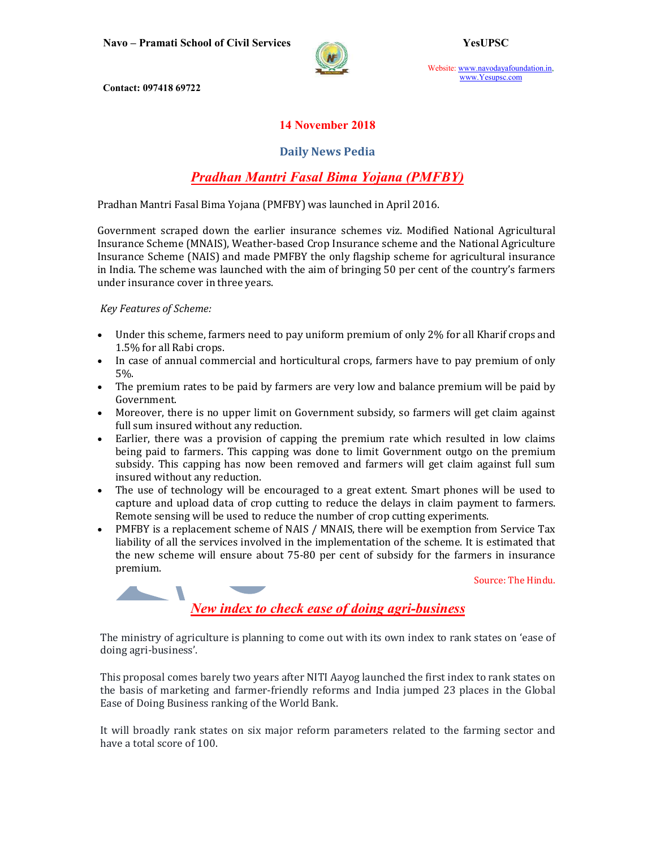

Website: www.navodayafoundation.in, www.Yesupsc.com

Contact: 097418 69722

### 14 November 2018

#### Daily News Pedia

## Pradhan Mantri Fasal Bima Yojana (PMFBY)

Pradhan Mantri Fasal Bima Yojana (PMFBY) was launched in April 2016.

Government scraped down the earlier insurance schemes viz. Modified National Agricultural Insurance Scheme (MNAIS), Weather-based Crop Insurance scheme and the National Agriculture Insurance Scheme (NAIS) and made PMFBY the only flagship scheme for agricultural insurance in India. The scheme was launched with the aim of bringing 50 per cent of the country's farmers under insurance cover in three years.

Key Features of Scheme:

 $\overline{\phantom{a}}$ 

- Under this scheme, farmers need to pay uniform premium of only 2% for all Kharif crops and 1.5% for all Rabi crops.
- In case of annual commercial and horticultural crops, farmers have to pay premium of only 5%.
- The premium rates to be paid by farmers are very low and balance premium will be paid by Government.
- Moreover, there is no upper limit on Government subsidy, so farmers will get claim against full sum insured without any reduction.
- Earlier, there was a provision of capping the premium rate which resulted in low claims being paid to farmers. This capping was done to limit Government outgo on the premium subsidy. This capping has now been removed and farmers will get claim against full sum insured without any reduction.
- The use of technology will be encouraged to a great extent. Smart phones will be used to capture and upload data of crop cutting to reduce the delays in claim payment to farmers. Remote sensing will be used to reduce the number of crop cutting experiments.
- PMFBY is a replacement scheme of NAIS / MNAIS, there will be exemption from Service Tax liability of all the services involved in the implementation of the scheme. It is estimated that the new scheme will ensure about 75-80 per cent of subsidy for the farmers in insurance premium.

Source: The Hindu.

New index to check ease of doing agri-business

The ministry of agriculture is planning to come out with its own index to rank states on 'ease of doing agri-business'.

This proposal comes barely two years after NITI Aayog launched the first index to rank states on the basis of marketing and farmer-friendly reforms and India jumped 23 places in the Global Ease of Doing Business ranking of the World Bank.

It will broadly rank states on six major reform parameters related to the farming sector and have a total score of 100.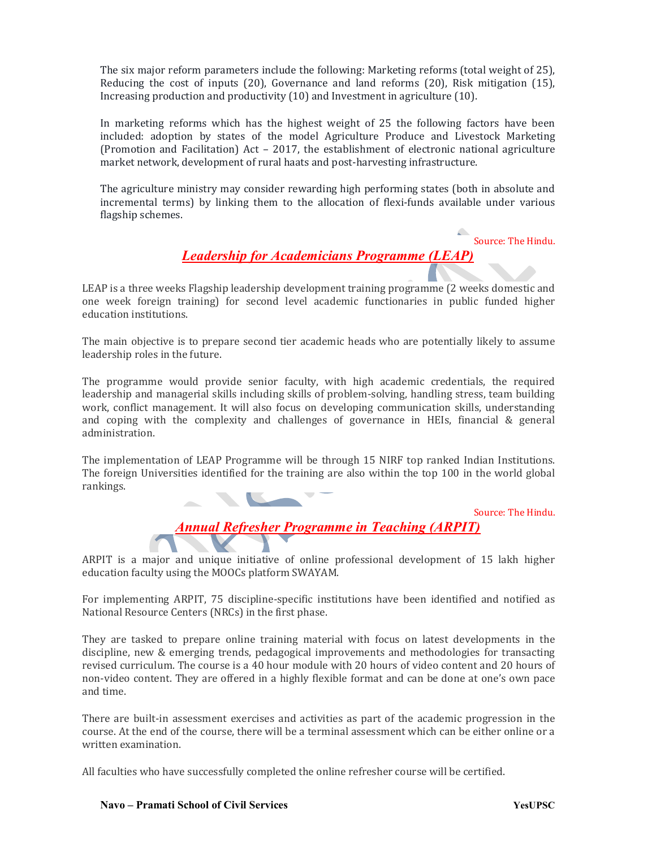The six major reform parameters include the following: Marketing reforms (total weight of 25), Reducing the cost of inputs (20), Governance and land reforms (20), Risk mitigation (15), Increasing production and productivity (10) and Investment in agriculture (10).

In marketing reforms which has the highest weight of 25 the following factors have been included: adoption by states of the model Agriculture Produce and Livestock Marketing (Promotion and Facilitation) Act – 2017, the establishment of electronic national agriculture market network, development of rural haats and post-harvesting infrastructure.

The agriculture ministry may consider rewarding high performing states (both in absolute and incremental terms) by linking them to the allocation of flexi-funds available under various flagship schemes.

Source: The Hindu.

# Leadership for Academicians Programme (LEAP)

LEAP is a three weeks Flagship leadership development training programme (2 weeks domestic and one week foreign training) for second level academic functionaries in public funded higher education institutions.

The main objective is to prepare second tier academic heads who are potentially likely to assume leadership roles in the future.

The programme would provide senior faculty, with high academic credentials, the required leadership and managerial skills including skills of problem-solving, handling stress, team building work, conflict management. It will also focus on developing communication skills, understanding and coping with the complexity and challenges of governance in HEIs, financial & general administration.

The implementation of LEAP Programme will be through 15 NIRF top ranked Indian Institutions. The foreign Universities identified for the training are also within the top 100 in the world global rankings.

Source: The Hindu.

Annual Refresher Programme in Teaching (ARPIT)

ARPIT is a major and unique initiative of online professional development of 15 lakh higher education faculty using the MOOCs platform SWAYAM.

For implementing ARPIT, 75 discipline-specific institutions have been identified and notified as National Resource Centers (NRCs) in the first phase.

They are tasked to prepare online training material with focus on latest developments in the discipline, new & emerging trends, pedagogical improvements and methodologies for transacting revised curriculum. The course is a 40 hour module with 20 hours of video content and 20 hours of non-video content. They are offered in a highly flexible format and can be done at one's own pace and time.

There are built-in assessment exercises and activities as part of the academic progression in the course. At the end of the course, there will be a terminal assessment which can be either online or a written examination.

All faculties who have successfully completed the online refresher course will be certified.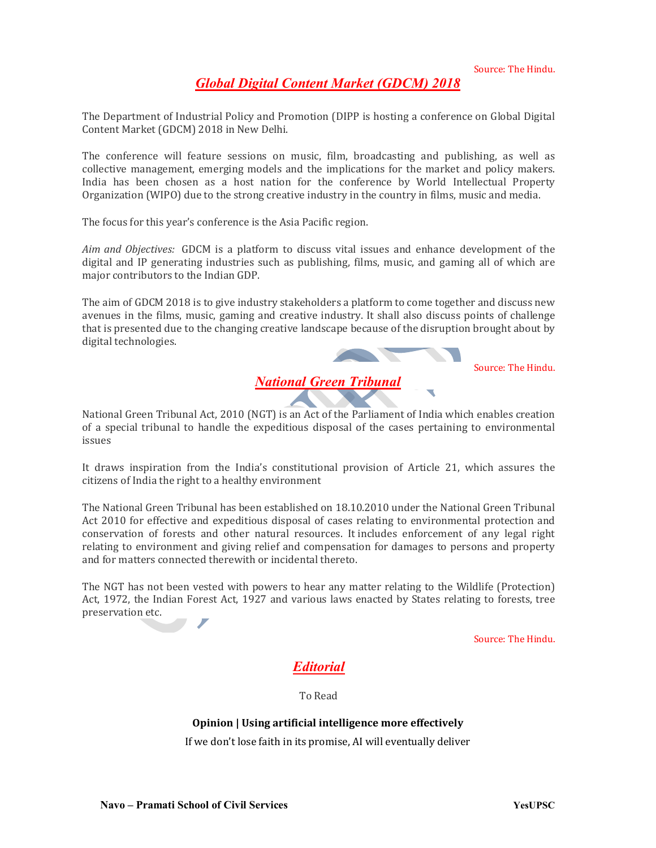Global Digital Content Market (GDCM) 2018

The Department of Industrial Policy and Promotion (DIPP is hosting a conference on Global Digital Content Market (GDCM) 2018 in New Delhi.

The conference will feature sessions on music, film, broadcasting and publishing, as well as collective management, emerging models and the implications for the market and policy makers. India has been chosen as a host nation for the conference by World Intellectual Property Organization (WIPO) due to the strong creative industry in the country in films, music and media.

The focus for this year's conference is the Asia Pacific region.

Aim and Objectives: GDCM is a platform to discuss vital issues and enhance development of the digital and IP generating industries such as publishing, films, music, and gaming all of which are major contributors to the Indian GDP.

The aim of GDCM 2018 is to give industry stakeholders a platform to come together and discuss new avenues in the films, music, gaming and creative industry. It shall also discuss points of challenge that is presented due to the changing creative landscape because of the disruption brought about by digital technologies.



Source: The Hindu.

National Green Tribunal Act, 2010 (NGT) is an Act of the Parliament of India which enables creation of a special tribunal to handle the expeditious disposal of the cases pertaining to environmental issues

It draws inspiration from the India's constitutional provision of Article 21, which assures the citizens of India the right to a healthy environment

The National Green Tribunal has been established on 18.10.2010 under the National Green Tribunal Act 2010 for effective and expeditious disposal of cases relating to environmental protection and conservation of forests and other natural resources. It includes enforcement of any legal right relating to environment and giving relief and compensation for damages to persons and property and for matters connected therewith or incidental thereto.

The NGT has not been vested with powers to hear any matter relating to the Wildlife (Protection) Act, 1972, the Indian Forest Act, 1927 and various laws enacted by States relating to forests, tree preservation etc.

Source: The Hindu.

## Editorial

To Read

#### Opinion | Using artificial intelligence more effectively

If we don't lose faith in its promise, AI will eventually deliver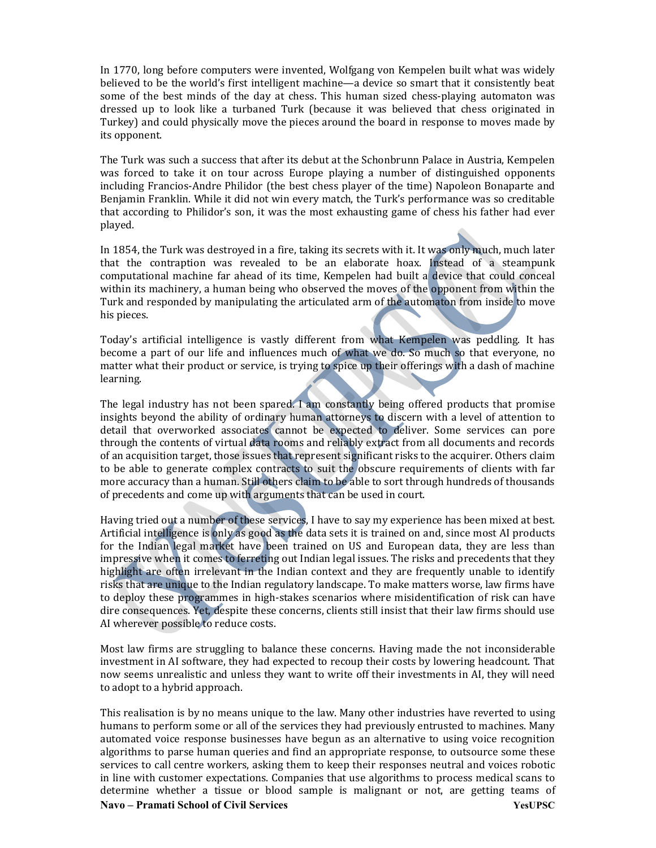In 1770, long before computers were invented, Wolfgang von Kempelen built what was widely believed to be the world's first intelligent machine—a device so smart that it consistently beat some of the best minds of the day at chess. This human sized chess-playing automaton was dressed up to look like a turbaned Turk (because it was believed that chess originated in Turkey) and could physically move the pieces around the board in response to moves made by its opponent.

The Turk was such a success that after its debut at the Schonbrunn Palace in Austria, Kempelen was forced to take it on tour across Europe playing a number of distinguished opponents including Francios-Andre Philidor (the best chess player of the time) Napoleon Bonaparte and Benjamin Franklin. While it did not win every match, the Turk's performance was so creditable that according to Philidor's son, it was the most exhausting game of chess his father had ever played.

In 1854, the Turk was destroyed in a fire, taking its secrets with it. It was only much, much later that the contraption was revealed to be an elaborate hoax. Instead of a steampunk computational machine far ahead of its time, Kempelen had built a device that could conceal within its machinery, a human being who observed the moves of the opponent from within the Turk and responded by manipulating the articulated arm of the automaton from inside to move his pieces.

Today's artificial intelligence is vastly different from what Kempelen was peddling. It has become a part of our life and influences much of what we do. So much so that everyone, no matter what their product or service, is trying to spice up their offerings with a dash of machine learning.

The legal industry has not been spared. I am constantly being offered products that promise insights beyond the ability of ordinary human attorneys to discern with a level of attention to detail that overworked associates cannot be expected to deliver. Some services can pore through the contents of virtual data rooms and reliably extract from all documents and records of an acquisition target, those issues that represent significant risks to the acquirer. Others claim to be able to generate complex contracts to suit the obscure requirements of clients with far more accuracy than a human. Still others claim to be able to sort through hundreds of thousands of precedents and come up with arguments that can be used in court.

Having tried out a number of these services, I have to say my experience has been mixed at best. Artificial intelligence is only as good as the data sets it is trained on and, since most AI products for the Indian legal market have been trained on US and European data, they are less than impressive when it comes to ferreting out Indian legal issues. The risks and precedents that they highlight are often irrelevant in the Indian context and they are frequently unable to identify risks that are unique to the Indian regulatory landscape. To make matters worse, law firms have to deploy these programmes in high-stakes scenarios where misidentification of risk can have dire consequences. Yet, despite these concerns, clients still insist that their law firms should use AI wherever possible to reduce costs.

Most law firms are struggling to balance these concerns. Having made the not inconsiderable investment in AI software, they had expected to recoup their costs by lowering headcount. That now seems unrealistic and unless they want to write off their investments in AI, they will need to adopt to a hybrid approach.

Navo – Pramati School of Civil Services YesUPSC This realisation is by no means unique to the law. Many other industries have reverted to using humans to perform some or all of the services they had previously entrusted to machines. Many automated voice response businesses have begun as an alternative to using voice recognition algorithms to parse human queries and find an appropriate response, to outsource some these services to call centre workers, asking them to keep their responses neutral and voices robotic in line with customer expectations. Companies that use algorithms to process medical scans to determine whether a tissue or blood sample is malignant or not, are getting teams of